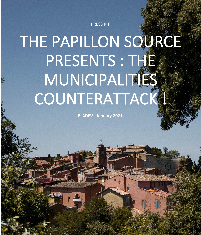PRESS KIT

# THE PAPILLON SOURCE PRESENTS : THE **MUNICIPALITIES** COUNTERATTACK !

**EL4DEV - January 2021**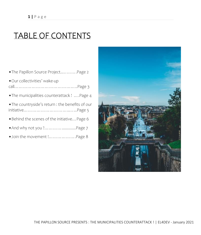# TABLE OF CONTENTS

| . The Papillon Source Project Page 2             |
|--------------------------------------------------|
| · Our collectivities' wake-up                    |
| . The municipalities counterattack !  . Page 4   |
| . The countryside's return : the benefits of our |
| . Behind the scenes of the initiative Page 6     |
| . And why not you ? Page 7                       |
|                                                  |

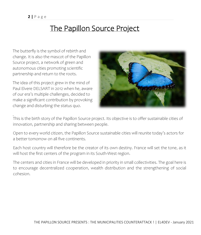## The Papillon Source Project

The butterfly is the symbol of rebirth and change. It is also the mascot of the Papillon Source project, a network of green and autonomous cities promoting scientific partnership and return to the roots.

The idea of this project grew in the mind of Paul Elvere DELSART in 2012 when he, aware of our era's multiple challenges, decided to make a significant contribution by provoking change and disturbing the status quo.



. This is the birth story of the Papillon Source project. Its objective is to offer sustainable cities of innovation, partnership and sharing between people.

Open to every world citizen, the Papillon Source sustainable cities will reunite today's actors for a better tomorrow on all five continents.

Each host country will therefore be the creator of its own destiny. France will set the tone, as it will host the first centers of the program in its South-West region.

The centers and cities in France will be developed in priority in small collectivities. The goal here is to encourage decentralized cooperation, wealth distribution and the strengthening of social cohesion.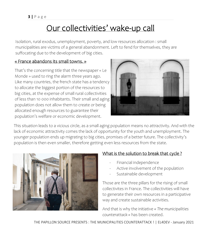# Our collectivities' wake-up call

Isolation, rural exodus, unemployment, poverty, and low resources allocation : small municipalities are victims of a general abandonment. Left to fend for themselves, they are suffocating due to the development of big cities.

### « France abandons its small towns. »

That's the concerning title that the newspaper « Le Monde » used to ring the alarm three years ago. Like many countries, the french state has a tendency to allocate the biggest portion of the resources to big cities, at the expense of small rural collectivities of less than 10 000 inhabitants. Their small and aging population does not allow them to create or being allocated enough resources to guarantee their population's welfare or economic development.



This situation leads to a vicious circle, as a small aging population means no attractivity. And with the lack of economic attractivity comes the lack of opportunity for the youth and unemployment. The younger population ends up migrating to big cities, promises of a better future. The collectivity's population is then even smaller, therefore getting even less resources from the state.



## What is the solution to break that cycle ?

- Financial independence
- Active involvement of the population
- Sustainable development

Those are the three pillars for the rising of small collectivites in France. The collectivities will have to generate their own resources in a participative way and create sustainable activities.

And that is why the initiative *« The municipalities counterattack »* has been created.

THE PAPILLON SOURCE PRESENTS : THE MUNICIPALITIES COUNTERATTACK ! | EL4DEV - January 2021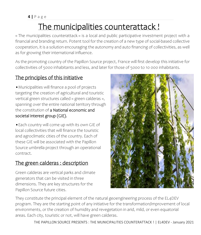# The municipalities counterattack !

« The municipalities counterattack » is a local and public participative investment project with a financial and branding return. Potent tool for the creation of a new type of social-based collective cooperation, it is a solution encouraging the autonomy and auto financing of collectivities, as well as for growing their international influence.

As the promoting country of the Papillon Source project, France will first develop this initiative for collectivities of 5000 inhabitants and less, and later for those of 5000 to 10 000 inhabitants.

## The principles of this initiative

•Municipalities will finance a pool of projects targeting the creation of agricultural and touristic vertical green structures called « green calderas », spanning over the entire national territory through the constitution of a National economic and societal interest group (GIE).

•Each country will come up with its own GIE of local collectivities that will finance the touristic and agroclimatic cities of the country. Each of these GIE will be associated with the Papillon Source umbrella project through an operational contract.

## The green calderas : description

Green calderas are vertical parks and climate generators that can be visited in three dimensions. They are key structures for the Papillon Source future cities.



They constitute the principal element of the natural geoengineering process of the EL4DEV program. They are the starting point of any initiative for the transformation/improvement of local environments, or the creation of humidity and revegetation in arid, mild, or even equatorial areas. Each city, touristic or not, will have green calderas.

THE PAPILLON SOURCE PRESENTS : THE MUNICIPALITIES COUNTERATTACK ! | EL4DEV - January 2021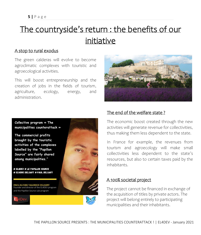# The countryside's return : the benefits of our initiative

#### A stop to rural exodus

The green calderas will evolve to become agroclimatic complexes with touristic and agroecological activities.

This will boost entrepreneurship and the creation of jobs in the fields of tourism, agriculture, ecology, energy, and administration.

![](_page_5_Picture_5.jpeg)

**Collective program « The municipalities counterattack »**

**The commercial profits brought by the touristic activities of the complexes labelled by the "Papillon Source" are fairly shared among municipalities."**

# EL4DEV # LE PAPILLON SOURCE # ELVERE DELSART # PAUL DELSART

PAUL ELVERE VALERIEN DELSART Founder and director of the EL4DEV program and the Papillon Source sub-program

![](_page_5_Picture_10.jpeg)

![](_page_5_Picture_11.jpeg)

## The end of the welfare state ?

The economic boost created through the new activities will generate revenue for collectivities, thus making them less dependent to the state.

In France for example, the revenues from tourism and agroecology will make small collectivities less dependent to the state's resources, but also to certain taxes paid by the inhabitants.

### A 100% societal project

The project cannot be financed in exchange of the acquisition of titles by private actors. The project will belong entirely to participating municipalities and their inhabitants.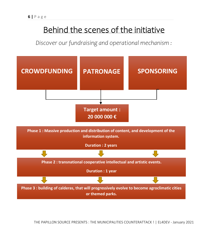# Behind the scenes of the initiative

*Discover our fundraising and operational mechanism :*

![](_page_6_Figure_3.jpeg)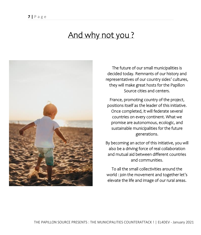## And why not you?

![](_page_7_Picture_2.jpeg)

The future of our small municipalities is decided today. Remnants of our history and representatives of our country sides' cultures, they will make great hosts for the Papillon Source cities and centers.

France, promoting country of the project, positions itself as the leader of this initiative. Once completed, it will federate several countries on every continent. What we promise are autonomous, ecologic, and sustainable municipalities for the future generations.

By becoming an actor of this initiative, you will also be a driving force of real collaboration and mutual aid between different countries and communities.

To all the small collectivities around the world : join the movement and together let's elevate the life and image of our rural areas.